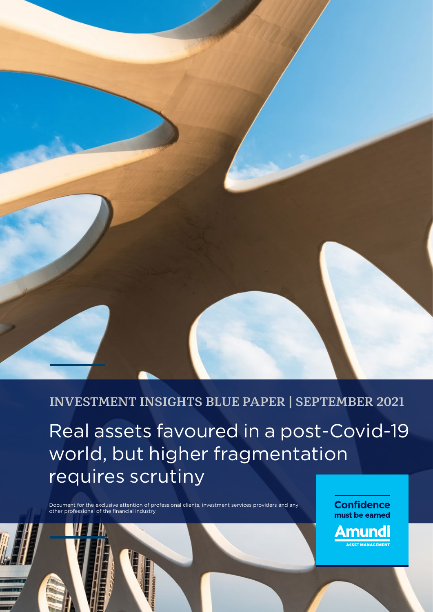

**INVESTMENT INSIGHTS BLUE PAPER | SEPTEMBER 2021**

Real assets favoured in a post-Covid-19 world, but higher fragmentation requires scrutiny

Document for the exclusive attention of professional clients, investment services providers and any other professional of the financial industry

**Confidence** must be earned

**Amundi**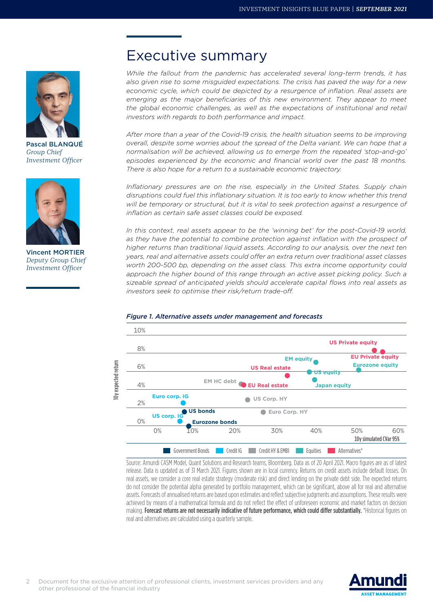

Pascal BLANQUÉ *Group Chief Investment Officer*



Vincent MORTIER *Deputy Group Chief Investment Officer*

### Executive summary

*While the fallout from the pandemic has accelerated several long-term trends, it has also given rise to some misguided expectations. The crisis has paved the way for a new*  economic cycle, which could be depicted by a resurgence of inflation. Real assets are emerging as the major beneficiaries of this new environment. They appear to meet *the global economic challenges, as well as the expectations of institutional and retail investors with regards to both performance and impact.*

*After more than a year of the Covid-19 crisis, the health situation seems to be improving overall, despite some worries about the spread of the Delta variant. We can hope that a normalisation will be achieved, allowing us to emerge from the repeated 'stop-and-go'*  episodes experienced by the economic and financial world over the past 18 months. *There is also hope for a return to a sustainable economic trajectory.*

*Inflationary pressures are on the rise, especially in the United States. Supply chain disruptions could fuel this inflationary situation. It is too early to know whether this trend*  will be temporary or structural, but it is vital to seek protection against a resurgence of *inflation as certain safe asset classes could be exposed.*

*In this context, real assets appear to be the 'winning bet' for the post-Covid-19 world,*  as they have the potential to combine protection against inflation with the prospect of *higher returns than traditional liquid assets. According to our analysis, over the next ten years, real and alternative assets could offer an extra return over traditional asset classes worth 200-500 bp, depending on the asset class. This extra income opportunity could approach the higher bound of this range through an active asset picking policy. Such a sizeable spread of anticipated yields should accelerate capital flows into real assets as investors seek to optimise their risk/return trade-off.*



#### *Figure 1. Alternative assets under management and forecasts*

Source: Amundi CASM Model, Quant Solutions and Research teams, Bloomberg. Data as of 20 April 2021. Macro figures are as of latest release. Data is updated as of 31 March 2021. Figures shown are in local currency. Returns on credit assets include default losses. On real assets, we consider a core real estate strategy (moderate risk) and direct lending on the private debt side. The expected returns do not consider the potential alpha generated by portfolio management, which can be significant, above all for real and alternative assets. Forecasts of annualised returns are based upon estimates and reflect subjective judgments and assumptions. These results were achieved by means of a mathematical formula and do not reflect the effect of unforeseen economic and market factors on decision making. Forecast returns are not necessarily indicative of future performance, which could differ substantially. \*Historical figures on real and alternatives are calculated using a quarterly sample.

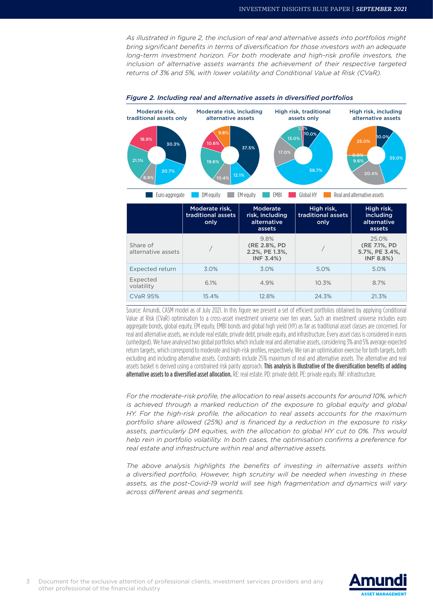*As illustrated in figure 2, the inclusion of real and alternative assets into portfolios might bring significant benefits in terms of diversification for those investors with an adequate*  long-term investment horizon. For both moderate and high-risk profile investors, the *inclusion of alternative assets warrants the achievement of their respective targeted returns of 3% and 5%, with lower volatility and Conditional Value at Risk (CVaR).*



#### *Figure 2. Including real and alternative assets in diversified portfolios*

Source: Amundi, CASM model as of July 2021. In this figure we present a set of efficient portfolios obtained by applying Conditional Value at Risk (CVaR) optimisation to a cross-asset investment universe over ten years. Such an investment universe includes euro aggregate bonds, global equity, EM equity, EMBI bonds and global high yield (HY) as far as traditional asset classes are concerned. For real and alternative assets, we include real estate, private debt, private equity, and infrastructure. Every asset class is considered in euros (unhedged). We have analysed two global portfolios which include real and alternative assets, considering 3% and 5% average expected return targets, which correspond to moderate and high-risk profiles, respectively. We ran an optimisation exercise for both targets, both excluding and including alternative assets. Constraints include 25% maximum of real and alternative assets. The alternative and real assets basket is derived using a constrained risk parity approach. This analysis is illustrative of the diversification benefits of adding alternative assets to a diversified asset allocation. RE: real estate. PD: private debt. PE: private equity. INF: infrastructure.

*For the moderate-risk profile, the allocation to real assets accounts for around 10%, which is achieved through a marked reduction of the exposure to global equity and global HY. For the high-risk profile, the allocation to real assets accounts for the maximum portfolio share allowed (25%) and is financed by a reduction in the exposure to risky assets, particularly DM equities, with the allocation to global HY cut to 0%. This would help rein in portfolio volatility. In both cases, the optimisation confirms a preference for real estate and infrastructure within real and alternative assets.*

*The above analysis highlights the benefits of investing in alternative assets within a diversified portfolio. However, high scrutiny will be needed when investing in these assets, as the post-Covid-19 world will see high fragmentation and dynamics will vary across different areas and segments.*

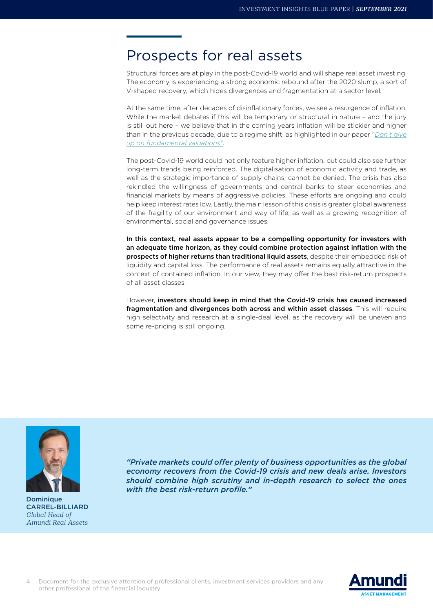### Prospects for real assets

Structural forces are at play in the post-Covid-19 world and will shape real asset investing. The economy is experiencing a strong economic rebound after the 2020 slump, a sort of V-shaped recovery, which hides divergences and fragmentation at a sector level.

At the same time, after decades of disinflationary forces, we see a resurgence of inflation. While the market debates if this will be temporary or structural in nature – and the jury is still out here – we believe that in the coming years inflation will be stickier and higher than in the previous decade, due to a regime shift, as highlighted in our paper "*[Don't give](https://research-center.amundi.com/article/do-not-give-fundamental-valuations) [up on fundamental valuations"](https://research-center.amundi.com/article/do-not-give-fundamental-valuations)*.

The post-Covid-19 world could not only feature higher inflation, but could also see further long-term trends being reinforced. The digitalisation of economic activity and trade, as well as the strategic importance of supply chains, cannot be denied. The crisis has also rekindled the willingness of governments and central banks to steer economies and financial markets by means of aggressive policies. These efforts are ongoing and could help keep interest rates low. Lastly, the main lesson of this crisis is greater global awareness of the fragility of our environment and way of life, as well as a growing recognition of environmental, social and governance issues.

In this context, real assets appear to be a compelling opportunity for investors with an adequate time horizon, as they could combine protection against inflation with the prospects of higher returns than traditional liquid assets, despite their embedded risk of liquidity and capital loss. The performance of real assets remains equally attractive in the context of contained inflation. In our view, they may offer the best risk-return prospects of all asset classes.

However, investors should keep in mind that the Covid-19 crisis has caused increased fragmentation and divergences both across and within asset classes. This will require high selectivity and research at a single-deal level, as the recovery will be uneven and some re-pricing is still ongoing.



Dominique CARREL-BILLIARD *Global Head of Amundi Real Assets*

*"Private markets could offer plenty of business opportunities as the global economy recovers from the Covid-19 crisis and new deals arise. Investors should combine high scrutiny and in-depth research to select the ones with the best risk-return profile."*

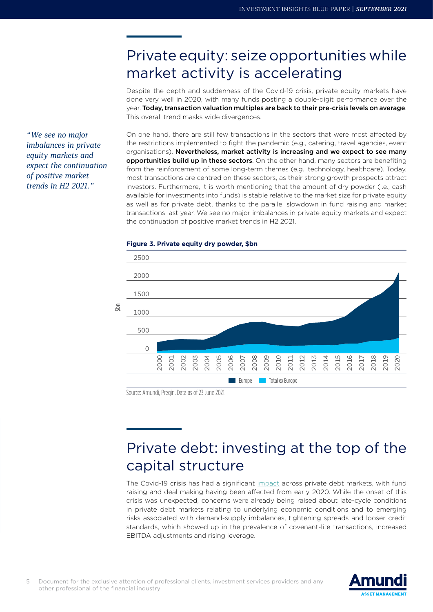## Private equity: seize opportunities while market activity is accelerating

Despite the depth and suddenness of the Covid-19 crisis, private equity markets have done very well in 2020, with many funds posting a double-digit performance over the year. Today, transaction valuation multiples are back to their pre-crisis levels on average. This overall trend masks wide divergences.

*"We see no major imbalances in private equity markets and expect the continuation of positive market trends in H2 2021."*

On one hand, there are still few transactions in the sectors that were most affected by the restrictions implemented to fight the pandemic (e.g., catering, travel agencies, event organisations). Nevertheless, market activity is increasing and we expect to see many opportunities build up in these sectors. On the other hand, many sectors are benefiting from the reinforcement of some long-term themes (e.g., technology, healthcare). Today, most transactions are centred on these sectors, as their strong growth prospects attract investors. Furthermore, it is worth mentioning that the amount of dry powder (i.e., cash available for investments into funds) is stable relative to the market size for private equity as well as for private debt, thanks to the parallel slowdown in fund raising and market transactions last year. We see no major imbalances in private equity markets and expect the continuation of positive market trends in H2 2021.



#### **Figure 3. Private equity dry powder, \$bn**

Source: Amundi, Preqin. Data as of 23 June 2021.

# Private debt: investing at the top of the capital structure

The Covid-19 crisis has had a significant [impact](https://research-center.amundi.com/article/investing-post-covid-19-european-private-debt-markets-focus-selection) across private debt markets, with fund raising and deal making having been affected from early 2020. While the onset of this crisis was unexpected, concerns were already being raised about late-cycle conditions in private debt markets relating to underlying economic conditions and to emerging risks associated with demand-supply imbalances, tightening spreads and looser credit standards, which showed up in the prevalence of covenant-lite transactions, increased EBITDA adjustments and rising leverage.

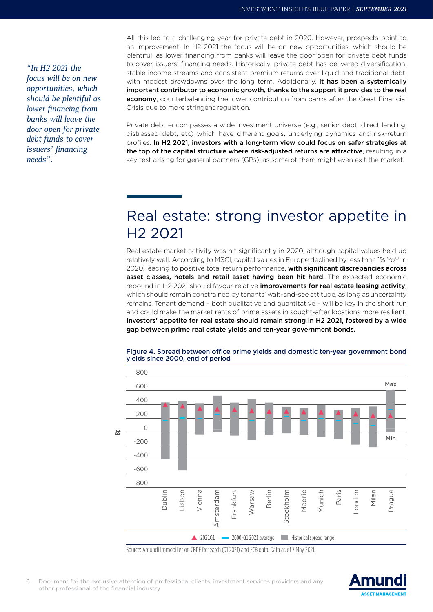*"In H2 2021 the focus will be on new opportunities, which should be plentiful as lower financing from banks will leave the door open for private debt funds to cover issuers' financing needs".*

All this led to a challenging year for private debt in 2020. However, prospects point to an improvement. In H2 2021 the focus will be on new opportunities, which should be plentiful, as lower financing from banks will leave the door open for private debt funds to cover issuers' financing needs. Historically, private debt has delivered diversification, stable income streams and consistent premium returns over liquid and traditional debt, with modest drawdowns over the long term. Additionally, it has been a systemically important contributor to economic growth, thanks to the support it provides to the real economy, counterbalancing the lower contribution from banks after the Great Financial Crisis due to more stringent regulation.

Private debt encompasses a wide investment universe (e.g., senior debt, direct lending, distressed debt, etc) which have different goals, underlying dynamics and risk-return profiles. In H2 2021, investors with a long-term view could focus on safer strategies at the top of the capital structure where risk-adjusted returns are attractive, resulting in a key test arising for general partners (GPs), as some of them might even exit the market.

## Real estate: strong investor appetite in H2 2021

Real estate market activity was hit significantly in 2020, although capital values held up relatively well. According to MSCI, capital values in Europe declined by less than 1% YoY in 2020, leading to positive total return performance, with significant discrepancies across asset classes, hotels and retail asset having been hit hard. The expected economic rebound in H2 2021 should favour relative improvements for real estate leasing activity, which should remain constrained by tenants' wait-and-see attitude, as long as uncertainty remains. Tenant demand – both qualitative and quantitative – will be key in the short run and could make the market rents of prime assets in sought-after locations more resilient. Investors' appetite for real estate should remain strong in H2 2021, fostered by a wide gap between prime real estate yields and ten-year government bonds.



Figure 4. Spread between office prime yields and domestic ten-year government bond yields since 2000, end of period

Source: Amundi Immobilier on CBRE Research (Q1 2021) and ECB data. Data as of 7 May 2021.

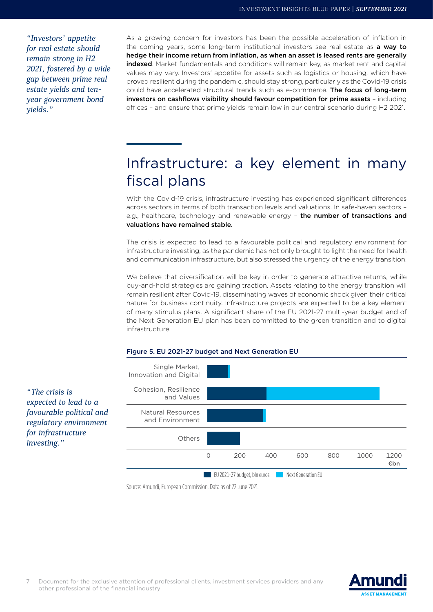*"Investors' appetite for real estate should remain strong in H2 2021, fostered by a wide gap between prime real estate yields and tenyear government bond yields."*

As a growing concern for investors has been the possible acceleration of inflation in the coming years, some long-term institutional investors see real estate as a way to hedge their income return from inflation, as when an asset is leased rents are generally indexed. Market fundamentals and conditions will remain key, as market rent and capital values may vary. Investors' appetite for assets such as logistics or housing, which have proved resilient during the pandemic, should stay strong, particularly as the Covid-19 crisis could have accelerated structural trends such as e-commerce. The focus of long-term investors on cashflows visibility should favour competition for prime assets – including offices – and ensure that prime yields remain low in our central scenario during H2 2021.

## Infrastructure: a key element in many fiscal plans

With the Covid-19 crisis, infrastructure investing has experienced significant differences across sectors in terms of both transaction levels and valuations. In safe-haven sectors – e.g., healthcare, technology and renewable energy - the number of transactions and valuations have remained stable.

The crisis is expected to lead to a favourable political and regulatory environment for infrastructure investing, as the pandemic has not only brought to light the need for health and communication infrastructure, but also stressed the urgency of the energy transition.

We believe that diversification will be key in order to generate attractive returns, while buy-and-hold strategies are gaining traction. Assets relating to the energy transition will remain resilient after Covid-19, disseminating waves of economic shock given their critical nature for business continuity. Infrastructure projects are expected to be a key element of many stimulus plans. A significant share of the EU 2021-27 multi-year budget and of the Next Generation EU plan has been committed to the green transition and to digital infrastructure.





Source: Amundi, European Commission. Data as of 22 June 2021.



*"The crisis is* 

*investing."*

*expected to lead to a favourable political and regulatory environment for infrastructure*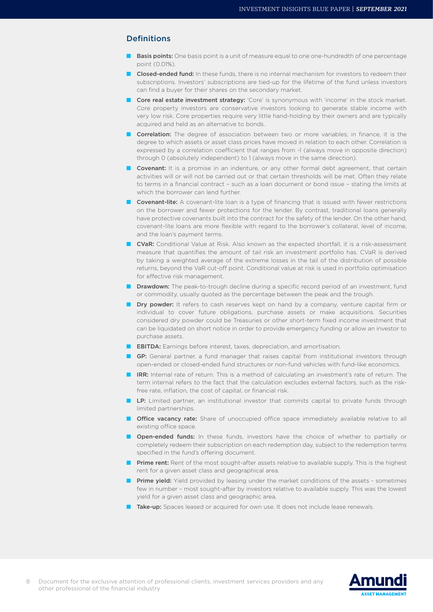#### Definitions

- **Basis points:** One basis point is a unit of measure equal to one one-hundredth of one percentage point (0.01%).
- **Closed-ended fund:** In these funds, there is no internal mechanism for investors to redeem their subscriptions. Investors' subscriptions are tied-up for the lifetime of the fund unless investors can find a buyer for their shares on the secondary market.
- Core real estate investment strategy: 'Core' is synonymous with 'income' in the stock market. Core property investors are conservative investors looking to generate stable income with very low risk. Core properties require very little hand-holding by their owners and are typically acquired and held as an alternative to bonds.
- **Correlation:** The degree of association between two or more variables; in finance, it is the degree to which assets or asset class prices have moved in relation to each other. Correlation is expressed by a correlation coefficient that ranges from -1 (always move in opposite direction) through 0 (absolutely independent) to 1 (always move in the same direction).
- Covenant: It is a promise in an indenture, or any other formal debt agreement, that certain activities will or will not be carried out or that certain thresholds will be met. Often they relate to terms in a financial contract – such as a loan document or bond issue – stating the limits at which the borrower can lend further.
- Covenant-lite: A covenant-lite loan is a type of financing that is issued with fewer restrictions on the borrower and fewer protections for the lender. By contrast, traditional loans generally have protective covenants built into the contract for the safety of the lender. On the other hand, covenant-lite loans are more flexible with regard to the borrower's collateral, level of income, and the loan's payment terms.
- **CVaR:** Conditional Value at Risk. Also known as the expected shortfall, it is a risk-assessment measure that quantifies the amount of tail risk an investment portfolio has. CVaR is derived by taking a weighted average of the extreme losses in the tail of the distribution of possible returns, beyond the VaR cut-off point. Conditional value at risk is used in portfolio optimisation for effective risk management.
- Drawdown: The peak-to-trough decline during a specific record period of an investment, fund or commodity, usually quoted as the percentage between the peak and the trough.
- Dry powder: It refers to cash reserves kept on hand by a company, venture capital firm or individual to cover future obligations, purchase assets or make acquisitions. Securities considered dry powder could be Treasuries or other short-term fixed income investment that can be liquidated on short notice in order to provide emergency funding or allow an investor to purchase assets.
- **EBITDA:** Earnings before interest, taxes, depreciation, and amortisation.
- GP: General partner, a fund manager that raises capital from institutional investors through open-ended or closed-ended fund structures or non-fund vehicles with fund-like economics.
- **IRR:** Internal rate of return. This is a method of calculating an investment's rate of return. The term internal refers to the fact that the calculation excludes external factors, such as the riskfree rate, inflation, the cost of capital, or financial risk.
- LP: Limited partner, an institutional investor that commits capital to private funds through limited partnerships.
- **Office vacancy rate:** Share of unoccupied office space immediately available relative to all existing office space.
- **Open-ended funds:** In these funds, investors have the choice of whether to partially or completely redeem their subscription on each redemption day, subject to the redemption terms specified in the fund's offering document.
- Prime rent: Rent of the most sought-after assets relative to available supply. This is the highest rent for a given asset class and geographical area.
- **Prime yield:** Yield provided by leasing under the market conditions of the assets sometimes few in number – most sought-after by investors relative to available supply. This was the lowest yield for a given asset class and geographic area.
- Take-up: Spaces leased or acquired for own use. It does not include lease renewals.



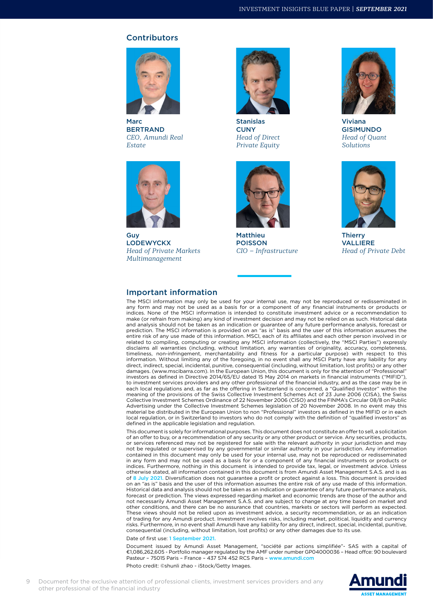#### Contributors



Marc BERTRAND *CEO, Amundi Real Estate*



Guy LODEWYCKX *Head of Private Markets Multimanagement*



Stanislas **CUNY** *Head of Direct Private Equity*



Matthieu POISSON *CIO – Infrastructure*



Viviana GISIMUNDO *Head of Quant Solutions*



**Thierry** VALLIERE *Head of Private Debt*

#### Important information

The MSCI information may only be used for your internal use, may not be reproduced or redisseminated in any form and may not be used as a basis for or a component of any financial instruments or products or indices. None of the MSCI information is intended to constitute investment advice or a recommendation to make (or refrain from making) any kind of investment decision and may not be relied on as such. Historical data and analysis should not be taken as an indication or guarantee of any future performance analysis, forecast or prediction. The MSCI information is provided on an "as is" basis and the user of this information assumes the entire risk of any use made of this information. MSCI, each of its affiliates and each other person involved in or related to compiling, computing or creating any MSCI information (collectively, the "MSCI Parties") expressly disclaims all warranties (including, without limitation, any warranties of originality, accuracy, completeness, timeliness, non-infringement, merchantability and fitness for a particular purpose) with respect to this information. Without limiting any of the foregoing, in no event shall any MSCI Party have any liability for any direct, indirect, special, incidental, punitive, consequential (including, without limitation, lost profits) or any other damages. (www.mscibarra.com). In the European Union, this document is only for the attention of "Professional" investors as defined in Directive 2014/65/EU dated 15 May 2014 on markets in financial instruments ("MIFID"), to investment services providers and any other professional of the financial industry, and as the case may be in each local regulations and, as far as the offering in Switzerland is concerned, a "Qualified Investor" within the meaning of the provisions of the Swiss Collective Investment Schemes Act of 23 June 2006 (CISA), the Swiss Collective Investment Schemes Ordinance of 22 November 2006 (CISO) and the FINMA's Circular 08/8 on Public Advertising under the Collective Investment Schemes legislation of 20 November 2008. In no event may this material be distributed in the European Union to non "Professional" investors as defined in the MIFID or in each local regulation, or in Switzerland to investors who do not comply with the definition of "qualified investors" as defined in the applicable legislation and regulation.

This document is solely for informational purposes. This document does not constitute an offer to sell, a solicitation of an offer to buy, or a recommendation of any security or any other product or service. Any securities, products, or services referenced may not be registered for sale with the relevant authority in your jurisdiction and may not be regulated or supervised by any governmental or similar authority in your jurisdiction. Any information contained in this document may only be used for your internal use, may not be reproduced or redisseminated in any form and may not be used as a basis for or a component of any financial instruments or products or indices. Furthermore, nothing in this document is intended to provide tax, legal, or investment advice. Unless otherwise stated, all information contained in this document is from Amundi Asset Management S.A.S. and is as of 8 July 2021. Diversification does not guarantee a profit or protect against a loss. This document is provided<br>on an "as is" basis and the user of this information assumes the entire risk of any use made of this informat Historical data and analysis should not be taken as an indication or guarantee of any future performance analysis, forecast or prediction. The views expressed regarding market and economic trends are those of the author and not necessarily Amundi Asset Management S.A.S. and are subject to change at any time based on market and other conditions, and there can be no assurance that countries, markets or sectors will perform as expected. These views should not be relied upon as investment advice, a security recommendation, or as an indication of trading for any Amundi product. Investment involves risks, including market, political, liquidity and currency risks. Furthermore, in no event shall Amundi have any liability for any direct, indirect, special, incidental, punitive, consequential (including, without limitation, lost profits) or any other damages due to its use.

Date of first use: 1 September 2021

Document issued by Amundi Asset Management, "société par actions simplifiée"- SAS with a capital of €1,086,262,605 - Portfolio manager regulated by the AMF under number GP04000036 – Head offce: 90 boulevard Pasteur – 75015 Paris – France – 437 574 452 RCS Paris – [www.amundi.com](http://https://www.amundi.com/)

Photo credit: ©shunli zhao - iStock/Getty Images.